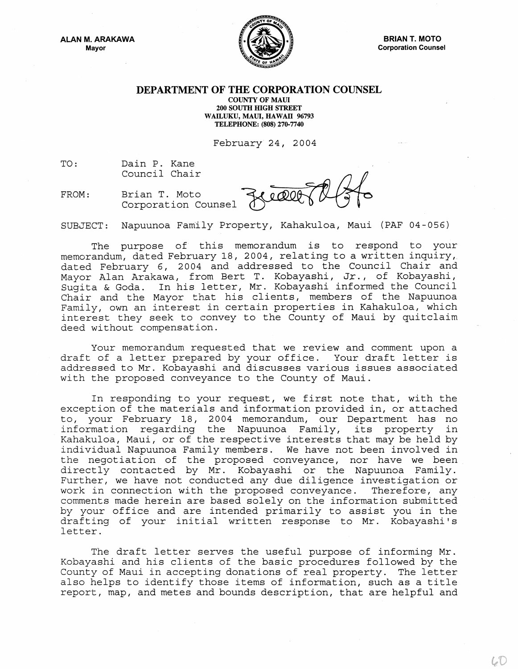ALAN M. ARAKAWA Mayor



BRIAN T. MOTO Corporation Counsel

## DEPARTMENT OF THE CORPORATION COUNSEL

COUNTY OF MAUl 200 SOUTH HIGH STREET WAILUKU, MAUl, HAWAll 96793 TELEPHONE: (808) 270-7740

February 24, 2004

TO: Dain P. Kane Council Chair

FROM: Brian T. Moto Corporation Counsel

Lidet

SUBJECT: Napuunoa Family Property, Kahakuloa, Maui (PAF 04-056)

The purpose of this memorandum is to respond to your memorandum, dated February 18, 2004, relating to a written inquiry, dated February 6, 2004 and addressed to the Council Chair and Mayor Alan Arakawa, from Bert T. Kobayashi, Jr., of Kobayashi, Sugita & Goda. In his letter, Mr. Kobayashi informed the Council Chair and the Mayor that his clients, members of the Napuunoa Family, own an interest in certain properties in Kahakuloa, which interest they seek to convey to the County of Maui by quitclaim deed without compensation.

Your memorandum requested that we review and comment upon a draft of a letter prepared by your office. Your draft letter is addressed to Mr. Kobayashi and discusses various issues associated with the proposed conveyance to the County of Maui.

In responding to your request, we first note that, with the exception of the materials and information provided in, or attached to, your February 18, 2004 memorandum, our Department has no information regarding the Napuunoa Family, its property in Kahakuloa, Maui, or of the respective interests that may be held by individual Napuunoa Family members. We have not been involved in the negotiation of the proposed conveyance, nor have we been directly contacted by Mr. Kobayashi or the Napuunoa Family. Further, we have not conducted any due diligence investigation or work in connection with the proposed conveyance. Therefore, any comments made herein are based solely on the information submitted by your office and are intended primarily to assist you in the drafting of your initial written response to Mr. Kobayashi's letter.

The draft letter serves the useful purpose of informing Mr. Kobayashi and his clients of the basic procedures followed by the County of Maui in accepting donations of real property. The letter also helps to identify those items of information, such as a title report, map, and metes and bounds description, that are helpful and